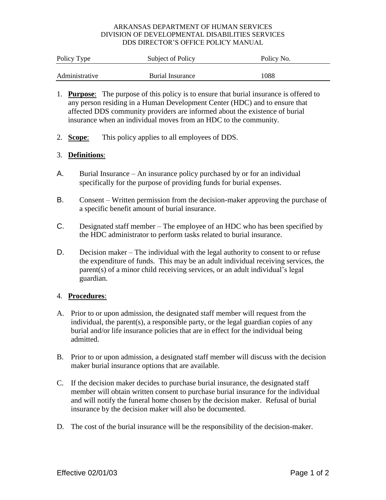## ARKANSAS DEPARTMENT OF HUMAN SERVICES DIVISION OF DEVELOPMENTAL DISABILITIES SERVICES DDS DIRECTOR'S OFFICE POLICY MANUAL

| Policy Type    | Subject of Policy | Policy No. |
|----------------|-------------------|------------|
| Administrative | Burial Insurance  | 1088       |

- 1. **Purpose**: The purpose of this policy is to ensure that burial insurance is offered to any person residing in a Human Development Center (HDC) and to ensure that affected DDS community providers are informed about the existence of burial insurance when an individual moves from an HDC to the community.
- 2. **Scope**: This policy applies to all employees of DDS.

# 3. **Definitions**:

- A. Burial Insurance An insurance policy purchased by or for an individual specifically for the purpose of providing funds for burial expenses.
- B. Consent Written permission from the decision-maker approving the purchase of a specific benefit amount of burial insurance.
- C. Designated staff member The employee of an HDC who has been specified by the HDC administrator to perform tasks related to burial insurance.
- D. Decision maker The individual with the legal authority to consent to or refuse the expenditure of funds. This may be an adult individual receiving services, the parent(s) of a minor child receiving services, or an adult individual's legal guardian.

## 4. **Procedures**:

- A. Prior to or upon admission, the designated staff member will request from the individual, the parent(s), a responsible party, or the legal guardian copies of any burial and/or life insurance policies that are in effect for the individual being admitted.
- B. Prior to or upon admission, a designated staff member will discuss with the decision maker burial insurance options that are available.
- C. If the decision maker decides to purchase burial insurance, the designated staff member will obtain written consent to purchase burial insurance for the individual and will notify the funeral home chosen by the decision maker. Refusal of burial insurance by the decision maker will also be documented.
- D. The cost of the burial insurance will be the responsibility of the decision-maker.